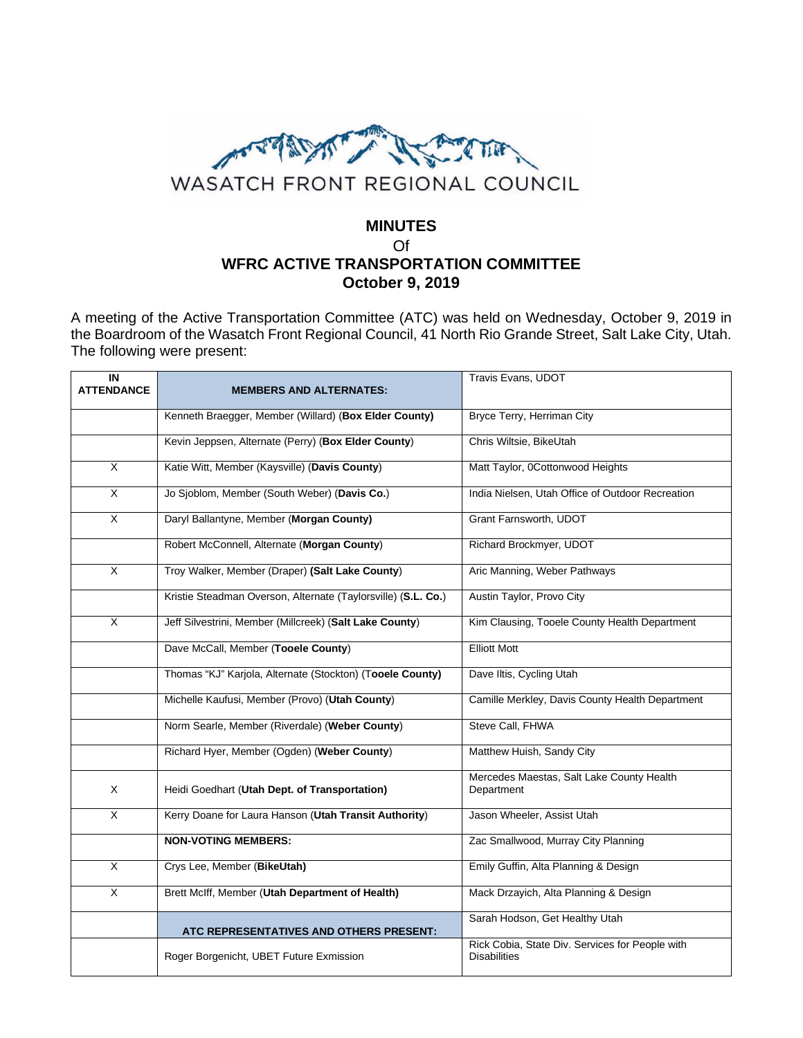

## **MINUTES** Of **WFRC ACTIVE TRANSPORTATION COMMITTEE October 9, 2019**

A meeting of the Active Transportation Committee (ATC) was held on Wednesday, October 9, 2019 in the Boardroom of the Wasatch Front Regional Council, 41 North Rio Grande Street, Salt Lake City, Utah. The following were present:

| IN<br><b>ATTENDANCE</b> | <b>MEMBERS AND ALTERNATES:</b>                                | Travis Evans, UDOT                                                     |
|-------------------------|---------------------------------------------------------------|------------------------------------------------------------------------|
|                         | Kenneth Braegger, Member (Willard) (Box Elder County)         | Bryce Terry, Herriman City                                             |
|                         | Kevin Jeppsen, Alternate (Perry) (Box Elder County)           | Chris Wiltsie, BikeUtah                                                |
| X                       | Katie Witt, Member (Kaysville) (Davis County)                 | Matt Taylor, 0Cottonwood Heights                                       |
| X                       | Jo Sjoblom, Member (South Weber) (Davis Co.)                  | India Nielsen, Utah Office of Outdoor Recreation                       |
| $\overline{X}$          | Daryl Ballantyne, Member (Morgan County)                      | Grant Farnsworth, UDOT                                                 |
|                         | Robert McConnell, Alternate (Morgan County)                   | Richard Brockmyer, UDOT                                                |
| X                       | Troy Walker, Member (Draper) (Salt Lake County)               | Aric Manning, Weber Pathways                                           |
|                         | Kristie Steadman Overson, Alternate (Taylorsville) (S.L. Co.) | Austin Taylor, Provo City                                              |
| X                       | Jeff Silvestrini, Member (Millcreek) (Salt Lake County)       | Kim Clausing, Tooele County Health Department                          |
|                         | Dave McCall, Member (Tooele County)                           | <b>Elliott Mott</b>                                                    |
|                         | Thomas "KJ" Karjola, Alternate (Stockton) (Tooele County)     | Dave Iltis, Cycling Utah                                               |
|                         | Michelle Kaufusi, Member (Provo) (Utah County)                | Camille Merkley, Davis County Health Department                        |
|                         | Norm Searle, Member (Riverdale) (Weber County)                | Steve Call, FHWA                                                       |
|                         | Richard Hyer, Member (Ogden) (Weber County)                   | Matthew Huish, Sandy City                                              |
| X                       | Heidi Goedhart (Utah Dept. of Transportation)                 | Mercedes Maestas, Salt Lake County Health<br>Department                |
| X                       | Kerry Doane for Laura Hanson (Utah Transit Authority)         | Jason Wheeler, Assist Utah                                             |
|                         | <b>NON-VOTING MEMBERS:</b>                                    | Zac Smallwood, Murray City Planning                                    |
| X                       | Crys Lee, Member (BikeUtah)                                   | Emily Guffin, Alta Planning & Design                                   |
| $\overline{X}$          | Brett McIff, Member (Utah Department of Health)               | Mack Drzayich, Alta Planning & Design                                  |
|                         | ATC REPRESENTATIVES AND OTHERS PRESENT:                       | Sarah Hodson, Get Healthy Utah                                         |
|                         | Roger Borgenicht, UBET Future Exmission                       | Rick Cobia, State Div. Services for People with<br><b>Disabilities</b> |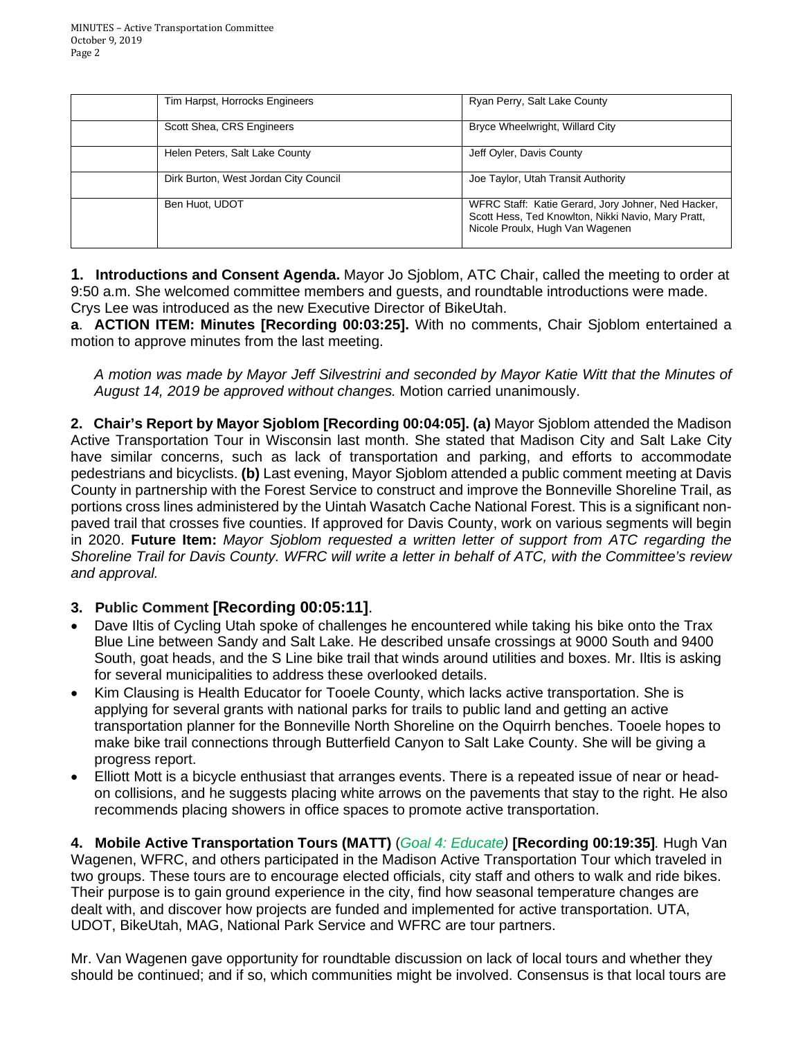| Tim Harpst, Horrocks Engineers        | Ryan Perry, Salt Lake County                                                                                                                |
|---------------------------------------|---------------------------------------------------------------------------------------------------------------------------------------------|
| Scott Shea, CRS Engineers             | Bryce Wheelwright, Willard City                                                                                                             |
| Helen Peters, Salt Lake County        | Jeff Oyler, Davis County                                                                                                                    |
| Dirk Burton, West Jordan City Council | Joe Taylor, Utah Transit Authority                                                                                                          |
| Ben Huot, UDOT                        | WFRC Staff: Katie Gerard, Jory Johner, Ned Hacker,<br>Scott Hess, Ted Knowlton, Nikki Navio, Mary Pratt,<br>Nicole Proulx, Hugh Van Wagenen |

**1. Introductions and Consent Agenda.** Mayor Jo Sjoblom, ATC Chair, called the meeting to order at 9:50 a.m. She welcomed committee members and guests, and roundtable introductions were made. Crys Lee was introduced as the new Executive Director of BikeUtah.

**a**. **ACTION ITEM: Minutes [Recording 00:03:25].** With no comments, Chair Sjoblom entertained a motion to approve minutes from the last meeting.

*A motion was made by Mayor Jeff Silvestrini and seconded by Mayor Katie Witt that the Minutes of August 14, 2019 be approved without changes.* Motion carried unanimously.

**2. Chair's Report by Mayor Sjoblom [Recording 00:04:05]. (a)** Mayor Sjoblom attended the Madison Active Transportation Tour in Wisconsin last month. She stated that Madison City and Salt Lake City have similar concerns, such as lack of transportation and parking, and efforts to accommodate pedestrians and bicyclists. **(b)** Last evening, Mayor Sjoblom attended a public comment meeting at Davis County in partnership with the Forest Service to construct and improve the Bonneville Shoreline Trail, as portions cross lines administered by the Uintah Wasatch Cache National Forest. This is a significant nonpaved trail that crosses five counties. If approved for Davis County, work on various segments will begin in 2020. **Future Item:** *Mayor Sjoblom requested a written letter of support from ATC regarding the Shoreline Trail for Davis County. WFRC will write a letter in behalf of ATC, with the Committee's review and approval.* 

## **3. Public Comment [Recording 00:05:11]**.

- Dave Iltis of Cycling Utah spoke of challenges he encountered while taking his bike onto the Trax Blue Line between Sandy and Salt Lake. He described unsafe crossings at 9000 South and 9400 South, goat heads, and the S Line bike trail that winds around utilities and boxes. Mr. Iltis is asking for several municipalities to address these overlooked details.
- Kim Clausing is Health Educator for Tooele County, which lacks active transportation. She is applying for several grants with national parks for trails to public land and getting an active transportation planner for the Bonneville North Shoreline on the Oquirrh benches. Tooele hopes to make bike trail connections through Butterfield Canyon to Salt Lake County. She will be giving a progress report.
- Elliott Mott is a bicycle enthusiast that arranges events. There is a repeated issue of near or headon collisions, and he suggests placing white arrows on the pavements that stay to the right. He also recommends placing showers in office spaces to promote active transportation.

**4. Mobile Active Transportation Tours (MATT)** (*Goal 4: Educate)* **[Recording 00:19:35]***.* Hugh Van Wagenen, WFRC, and others participated in the Madison Active Transportation Tour which traveled in two groups. These tours are to encourage elected officials, city staff and others to walk and ride bikes. Their purpose is to gain ground experience in the city, find how seasonal temperature changes are dealt with, and discover how projects are funded and implemented for active transportation. UTA, UDOT, BikeUtah, MAG, National Park Service and WFRC are tour partners.

Mr. Van Wagenen gave opportunity for roundtable discussion on lack of local tours and whether they should be continued; and if so, which communities might be involved. Consensus is that local tours are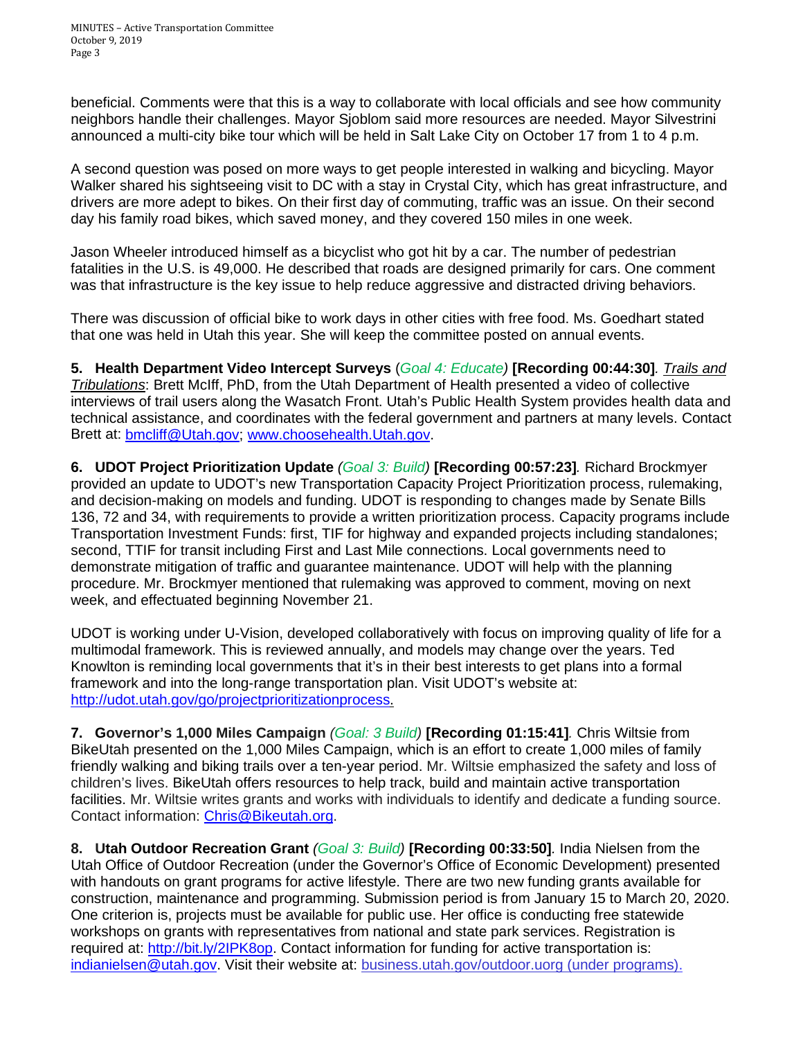beneficial. Comments were that this is a way to collaborate with local officials and see how community neighbors handle their challenges. Mayor Sjoblom said more resources are needed. Mayor Silvestrini announced a multi-city bike tour which will be held in Salt Lake City on October 17 from 1 to 4 p.m.

A second question was posed on more ways to get people interested in walking and bicycling. Mayor Walker shared his sightseeing visit to DC with a stay in Crystal City, which has great infrastructure, and drivers are more adept to bikes. On their first day of commuting, traffic was an issue. On their second day his family road bikes, which saved money, and they covered 150 miles in one week.

Jason Wheeler introduced himself as a bicyclist who got hit by a car. The number of pedestrian fatalities in the U.S. is 49,000. He described that roads are designed primarily for cars. One comment was that infrastructure is the key issue to help reduce aggressive and distracted driving behaviors.

There was discussion of official bike to work days in other cities with free food. Ms. Goedhart stated that one was held in Utah this year. She will keep the committee posted on annual events.

**5. Health Department Video Intercept Surveys** (*Goal 4: Educate)* **[Recording 00:44:30]***. Trails and Tribulations*: Brett McIff, PhD, from the Utah Department of Health presented a video of collective interviews of trail users along the Wasatch Front. Utah's Public Health System provides health data and technical assistance, and coordinates with the federal government and partners at many levels. Contact Brett at: [bmcliff@Utah.gov;](mailto:bmcliff@Utah.gov) [www.choosehealth.Utah.gov.](http://www.choosehealth.utah.gov/)

**6. UDOT Project Prioritization Update** *(Goal 3: Build)* **[Recording 00:57:23]***.* Richard Brockmyer provided an update to UDOT's new Transportation Capacity Project Prioritization process, rulemaking, and decision-making on models and funding. UDOT is responding to changes made by Senate Bills 136, 72 and 34, with requirements to provide a written prioritization process. Capacity programs include Transportation Investment Funds: first, TIF for highway and expanded projects including standalones; second, TTIF for transit including First and Last Mile connections. Local governments need to demonstrate mitigation of traffic and guarantee maintenance. UDOT will help with the planning procedure. Mr. Brockmyer mentioned that rulemaking was approved to comment, moving on next week, and effectuated beginning November 21.

UDOT is working under U-Vision, developed collaboratively with focus on improving quality of life for a multimodal framework. This is reviewed annually, and models may change over the years. Ted Knowlton is reminding local governments that it's in their best interests to get plans into a formal framework and into the long-range transportation plan. Visit UDOT's website at: [http://udot.utah.gov/go/projectprioritizationprocess.](http://udot.utah.gov/go/projectprioritizationprocess)

**7. Governor's 1,000 Miles Campaign** *(Goal: 3 Build)* **[Recording 01:15:41]***.* Chris Wiltsie from BikeUtah presented on the 1,000 Miles Campaign, which is an effort to create 1,000 miles of family friendly walking and biking trails over a ten-year period. Mr. Wiltsie emphasized the safety and loss of children's lives. BikeUtah offers resources to help track, build and maintain active transportation facilities. Mr. Wiltsie writes grants and works with individuals to identify and dedicate a funding source. Contact information: [Chris@Bikeutah.org.](mailto:Chris@Bikeutah.org)

**8. Utah Outdoor Recreation Grant** *(Goal 3: Build)* **[Recording 00:33:50]***.* India Nielsen from the Utah Office of Outdoor Recreation (under the Governor's Office of Economic Development) presented with handouts on grant programs for active lifestyle. There are two new funding grants available for construction, maintenance and programming. Submission period is from January 15 to March 20, 2020. One criterion is, projects must be available for public use. Her office is conducting free statewide workshops on grants with representatives from national and state park services. Registration is required at: [http://bit.ly/2IPK8op.](http://bit.ly/2IPK8op) Contact information for funding for active transportation is: [indianielsen@utah.gov.](mailto:indianielsen@utah.gov) Visit their website at: business.utah.gov/outdoor.uorg (under programs).